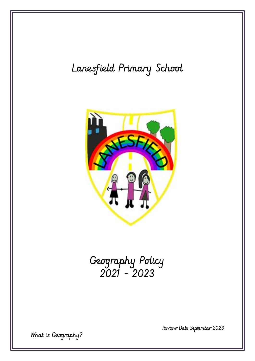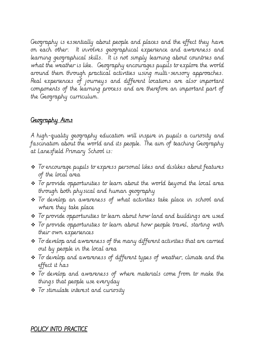Geography is essentially about people and places and the effect they have on each other. It involves geographical experience and awareness and learning geographical skills. It is not simply learning about countries and what the weather is like. Geography encourages pupils to explore the world around them through practical activities using multi-sensory approaches. Real experiences of journeys and different locations are also important components of the learning process and are therefore an important part of the Geography curriculum.

# Geography Aims

A high-quality geography education will inspire in pupils a curiosity and fascination about the world and its people. The aim of teaching Geography at Lanesfield Primary School is:

- ❖ To encourage pupils to express personal likes and dislikes about features of the local area
- ❖ To provide opportunities to learn about the world beyond the local area through both physical and human geography
- ❖ To develop an awareness of what activities take place in school and where they take place
- ❖ To provide opportunities to learn about how land and buildings are used
- ❖ To provide opportunities to learn about how people travel, starting with their own experiences
- ❖ To develop and awareness of the many different activities that are carried out by people in the local area
- ❖ To develop and awareness of different types of weather, climate and the effect it has
- ❖ To develop and awareness of where materials come from to make the things that people use everyday
- ❖ To stimulate interest and curiosity

## POLICY INTO PRACTICE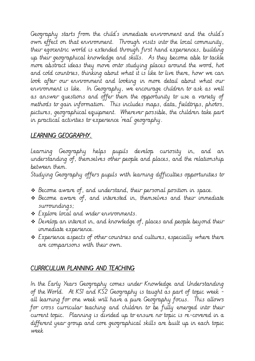Geography starts from the child's immediate environment and the child's own effect on that environment. Through visits into the local community, their egocentric world is extended through first hand experiences, building up their geographical knowledge and skills. As they become able to tackle more abstract ideas they move onto studying places around the word, hot and cold countries, thinking about what it is like to live there, how we can look after our environment and looking in more detail about what our environment is like. In Geography, we encourage children to ask as well as answer questions and offer them the opportunity to use a variety of methods to gain information. This includes maps, data, fieldtrips, photos, pictures, geographical equipment. Wherever possible, the children take part in practical activities to experience 'real' geography.

# LEARNING GEOGRAPHY.

Learning Geography helps pupils develop curiosity in, and an understanding of, themselves other people and places, and the relationship between them.

Studying Geography offers pupils with learning difficulties opportunities to

- ❖ Become aware of, and understand, their personal position in space.
- ❖ Become aware of, and interested in, themselves and their immediate surroundings;
- ❖ Explore local and wider environments.
- ❖ Develop an interest in, and knowledge of, places and people beyond their immediate experience.
- ❖ Experience aspects of other countries and cultures, especially where there are comparisons with their own.

## CURRICULUM PLANNING AND TEACHING

In the Early Years Geography comes under Knowledge and Understanding of the World. At KS1 and KS2 Geography is taught as part of topic week all learning for one week will have a pure Geography focus. This allows for cross curricular teaching and children to be fully emerged into their current topic. Planning is divided up to ensure no topic is re-covered in a different year group and core geographical skills are built up in each topic week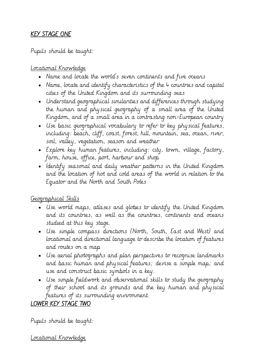# KEY STAGE ONE

## Pupils should be taught:

## Locational Knowledge

- Name and locate the world's seven continents and five oceans
- Name, locate and identify characteristics of the 4 countries and capital cities of the United Kingdom and its surrounding seas
- Understand geographical similarities and differences through studying the human and physical geography of a small area of the United Kingdom, and of a small area in a contrasting non-European country
- Use basic geographical vocabulary to refer to key physical features, including: beach, cliff, coast, forest, hill, mountain, sea, ocean, river, soil, valley, vegetation, season and weather
- Explore key human features, including: city, town, village, factory, farm, house, office, port, harbour and shop
- Identify seasonal and daily weather patterns in the United Kingdom and the location of hot and cold areas of the world in relation to the Equator and the North and South Poles

## Geographical Skills

- Use world maps, atlases and globes to identify the United Kingdom and its countries, as well as the countries, continents and oceans studied at this key stage.
- Use simple compass directions (North, South, East and West) and locational and directional language to describe the location of features and routes on a map
- Use aerial photographs and plan perspectives to recognise landmarks and basic human and physical features; devise a simple map; and use and construct basic symbols in a key.
- Use simple fieldwork and observational skills to study the geography of their school and its grounds and the key human and physical features of its surrounding environment.

# LOWER KEY STAGE TWO

Pupils should be taught:

Locational Knowledge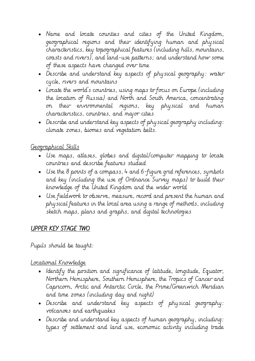- Name and locate counties and cities of the United Kingdom, geographical regions and their identifying human and physical characteristics, key topographical features (including hills, mountains, coasts and rivers), and land-use patterns; and understand how some of these aspects have changed over time
- Describe and understand key aspects of physical geography: water cycle, rivers and mountains
- Locate the world's countries, using maps to focus on Europe (including the location of Russia) and North and South America, concentrating on their environmental regions, key physical and human characteristics, countries, and major cities
- Describe and understand key aspects of physical geography including: climate zones, biomes and vegetation belts.

## Geographical Skills

- Use maps, atlases, globes and digital/computer mapping to locate countries and describe features studied
- Use the 8 points of a compass, 4 and 6-figure grid references, symbols and key (including the use of Ordnance Survey maps) to build their knowledge of the United Kingdom and the wider world
- Use fieldwork to observe, measure, record and present the human and physical features in the local area using a range of methods, including sketch maps, plans and graphs, and digital technologies

# UPPER KEY STAGE TWO

Pupils should be taught:

## Locational Knowledge

- Identify the position and significance of latitude, longitude, Equator, Northern Hemisphere, Southern Hemisphere, the Tropics of Cancer and Capricorn, Arctic and Antarctic Circle, the Prime/Greenwich Meridian and time zones (including day and night)
- Describe and understand key aspects of physical geography: volcanoes and earthquakes
- Describe and understand key aspects of human geography, including: types of settlement and land use, economic activity including trade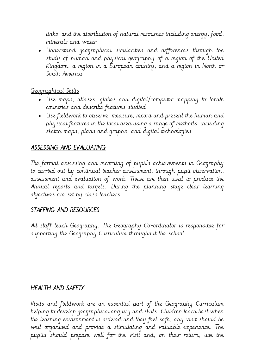links, and the distribution of natural resources including energy, food, minerals and water

• Understand geographical similarities and differences through the study of human and physical geography of a region of the United Kingdom, a region in a European country, and a region in North or South America

# Geographical Skills

- Use maps, atlases, globes and digital/computer mapping to locate countries and describe features studied
- Use fieldwork to observe, measure, record and present the human and physical features in the local area using a range of methods, including sketch maps, plans and graphs, and digital technologies

# ASSESSING AND EVALUATING

The formal assessing and recording of pupil's achievements in Geography is carried out by continual teacher assessment, through pupil observation, assessment and evaluation of work. These are then used to produce the Annual reports and targets. During the planning stage clear learning objectives are set by class teachers.

## STAFFING AND RESOURCES

All staff teach Geography. The Geography Co-ordinator is responsible for supporting the Geography Curriculum throughout the school.

# HEALTH AND SAFETY

Visits and fieldwork are an essential part of the Geography Curriculum helping to develop geographical enquiry and skills. Children learn best when the learning environment is ordered and they feel safe, any visit should be well organised and provide a stimulating and valuable experience. The pupils should prepare well for the visit and, on their return, use the